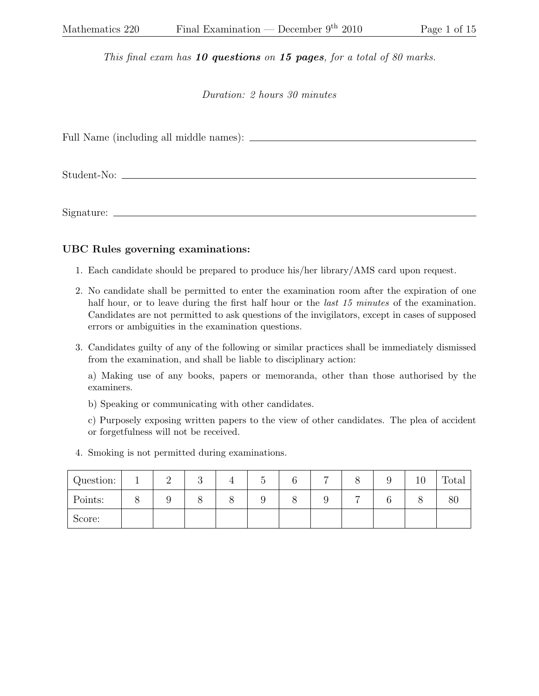This final exam has  $10$  questions on  $15$  pages, for a total of 80 marks.

Duration: 2 hours 30 minutes

Full Name (including all middle names):

Student-No:

Signature:

## UBC Rules governing examinations:

- 1. Each candidate should be prepared to produce his/her library/AMS card upon request.
- 2. No candidate shall be permitted to enter the examination room after the expiration of one half hour, or to leave during the first half hour or the *last 15 minutes* of the examination. Candidates are not permitted to ask questions of the invigilators, except in cases of supposed errors or ambiguities in the examination questions.
- 3. Candidates guilty of any of the following or similar practices shall be immediately dismissed from the examination, and shall be liable to disciplinary action:

a) Making use of any books, papers or memoranda, other than those authorised by the examiners.

b) Speaking or communicating with other candidates.

c) Purposely exposing written papers to the view of other candidates. The plea of accident or forgetfulness will not be received.

4. Smoking is not permitted during examinations.

| Question: | $\Omega$<br>↵ | റ<br>ಀ | U |  |   | IJ | ΤÛ | Total |
|-----------|---------------|--------|---|--|---|----|----|-------|
| Points:   | υ             |        |   |  | − |    |    | 80    |
| Score:    |               |        |   |  |   |    |    |       |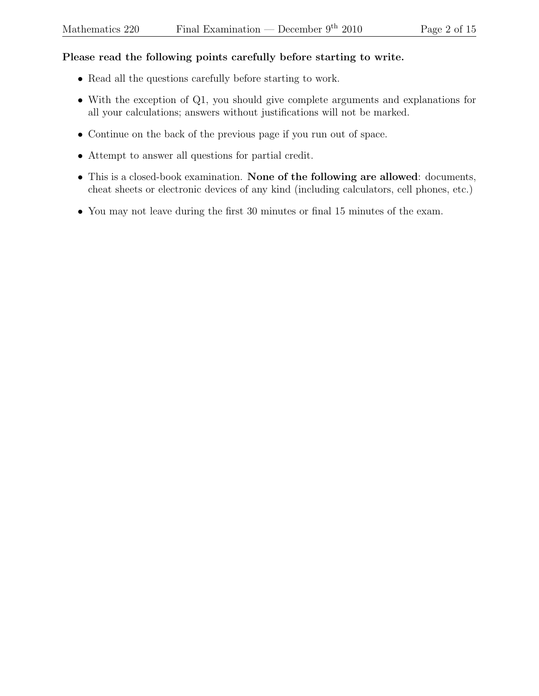## Please read the following points carefully before starting to write.

- Read all the questions carefully before starting to work.
- With the exception of Q1, you should give complete arguments and explanations for all your calculations; answers without justifications will not be marked.
- Continue on the back of the previous page if you run out of space.
- Attempt to answer all questions for partial credit.
- This is a closed-book examination. None of the following are allowed: documents, cheat sheets or electronic devices of any kind (including calculators, cell phones, etc.)
- You may not leave during the first 30 minutes or final 15 minutes of the exam.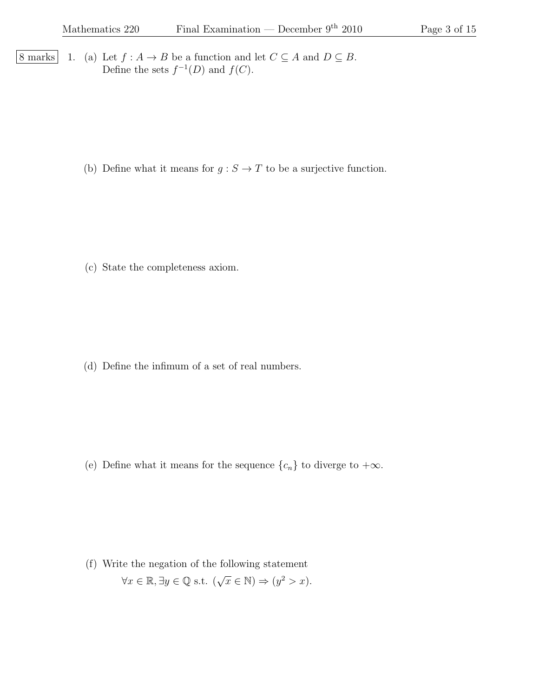8 marks 1. (a) Let  $f : A \to B$  be a function and let  $C \subseteq A$  and  $D \subseteq B$ . Define the sets  $f^{-1}(D)$  and  $f(C)$ .

(b) Define what it means for  $g : S \to T$  to be a surjective function.

(c) State the completeness axiom.

(d) Define the infimum of a set of real numbers.

(e) Define what it means for the sequence  $\{c_n\}$  to diverge to  $+\infty$ .

(f) Write the negation of the following statement  $\forall x \in \mathbb{R}, \exists y \in \mathbb{Q} \text{ s.t. } (\sqrt{x} \in \mathbb{N}) \Rightarrow (y^2 > x).$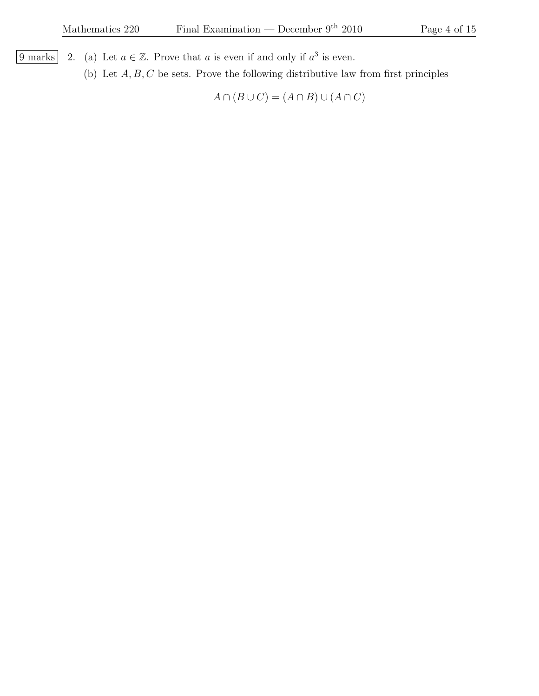- $\overline{9 \text{ marks}}$  2. (a) Let  $a \in \mathbb{Z}$ . Prove that a is even if and only if  $a^3$  is even.
	- (b) Let  $A, B, C$  be sets. Prove the following distributive law from first principles

 $A \cap (B \cup C) = (A \cap B) \cup (A \cap C)$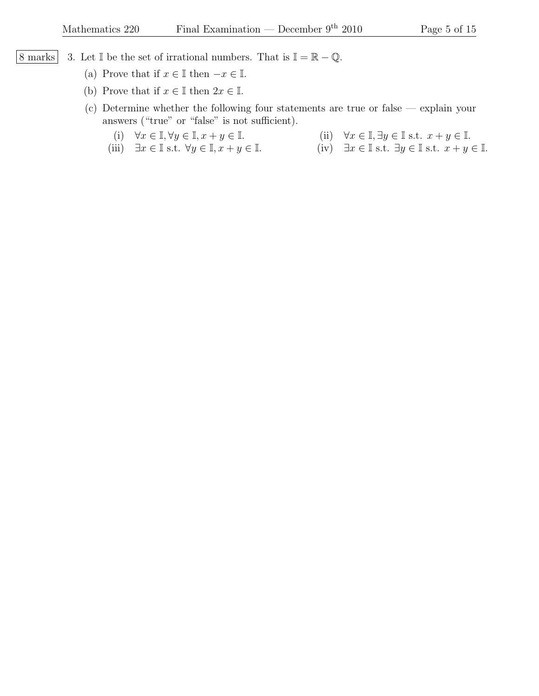- $\begin{array}{c|c|c|c|c} \hline 8 \text{ marks} & 3. \text{ Let } \mathbb{I} \text{ be the set of irrational numbers. That is } \mathbb{I} = \mathbb{R} \mathbb{Q}. \hline \end{array}$ 
	- (a) Prove that if  $x \in \mathbb{I}$  then  $-x \in \mathbb{I}$ .
	- (b) Prove that if  $x \in \mathbb{I}$  then  $2x \in \mathbb{I}$ .
	- (c) Determine whether the following four statements are true or false explain your answers ("true" or "false" is not sufficient).
		-
		- (i)  $\forall x \in \mathbb{I}, \forall y \in \mathbb{I}, x + y \in \mathbb{I}.$ <br>(ii)  $\forall x \in \mathbb{I}, \exists y \in \mathbb{I} \text{ s.t. } x + y \in \mathbb{I}.$ <br>(iii)  $\exists x \in \mathbb{I} \text{ s.t. } x + y \in \mathbb{I}.$ <br>(iv)  $\exists x \in \mathbb{I} \text{ s.t. } \exists y \in \mathbb{I} \text{ s.t. } x + y$ (iv)  $\exists x \in \mathbb{I} \text{ s.t. } \exists y \in \mathbb{I} \text{ s.t. } x + y \in \mathbb{I}.$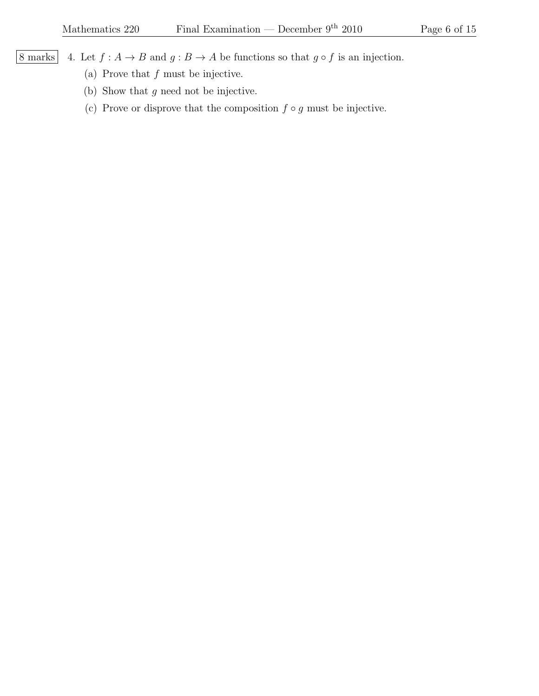8 marks 4. Let  $f : A \to B$  and  $g : B \to A$  be functions so that  $g \circ f$  is an injection.

- (a) Prove that  $f$  must be injective.
- (b) Show that g need not be injective.
- (c) Prove or disprove that the composition  $f \circ g$  must be injective.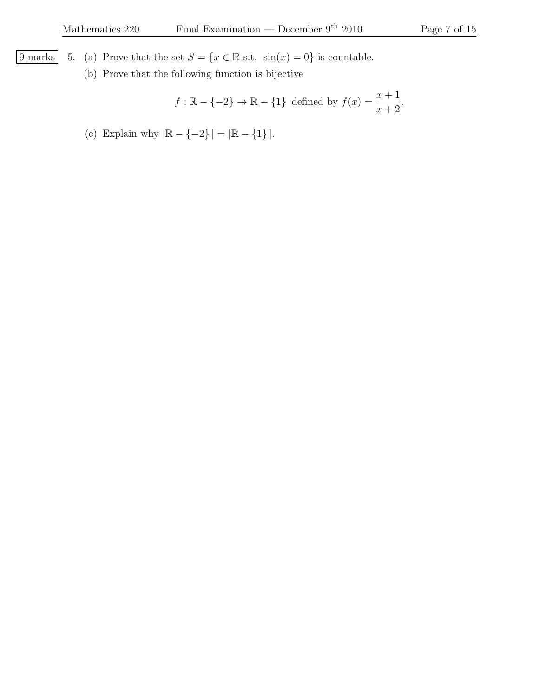- $\boxed{9 \text{ marks}}$  5. (a) Prove that the set  $S = \{x \in \mathbb{R} \text{ s.t. } \sin(x) = 0\}$  is countable.
	- (b) Prove that the following function is bijective

 $f : \mathbb{R} - \{-2\} \to \mathbb{R} - \{1\}$  defined by  $f(x) = \frac{x+1}{x+2}$  $x + 2$ .

(c) Explain why  $|\mathbb{R}-\{-2\}\,|=|\mathbb{R}-\{1\}\,|.$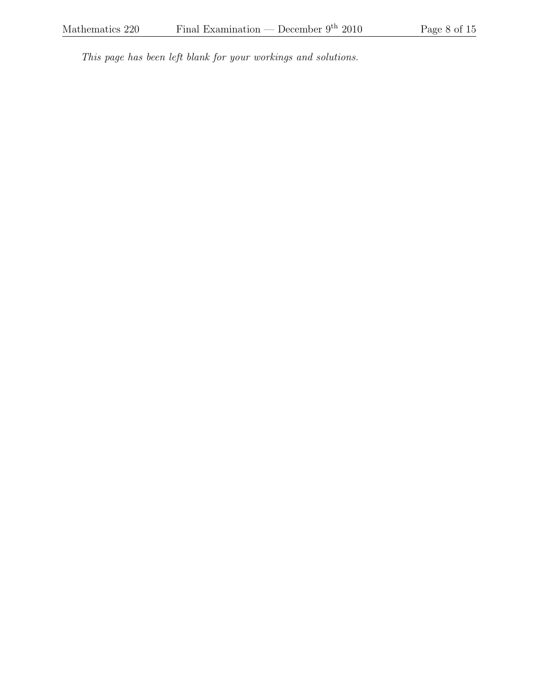This page has been left blank for your workings and solutions.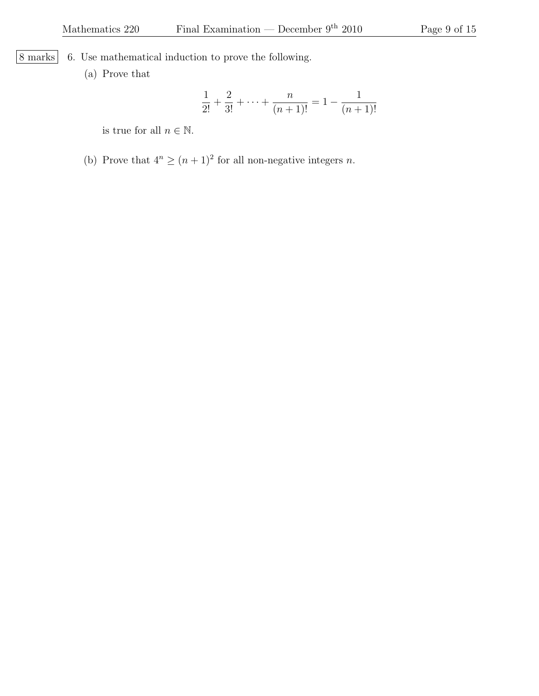8 marks 6. Use mathematical induction to prove the following.

(a) Prove that

$$
\frac{1}{2!} + \frac{2}{3!} + \dots + \frac{n}{(n+1)!} = 1 - \frac{1}{(n+1)!}
$$

is true for all  $n \in \mathbb{N}$ .

(b) Prove that  $4^n \ge (n+1)^2$  for all non-negative integers n.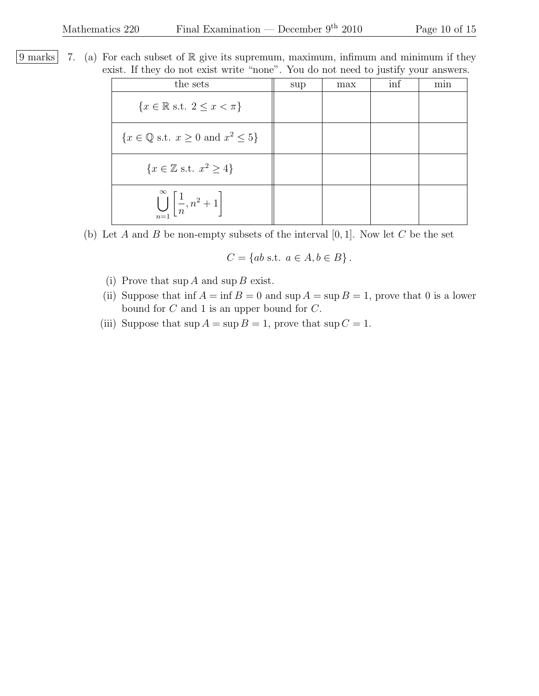9 marks 7. (a) For each subset of  $\mathbb R$  give its supremum, maximum, infimum and minimum if they exist. If they do not exist write "none". You do not need to justify your answers.

| the sets                                                              | sup | max | inf | min |
|-----------------------------------------------------------------------|-----|-----|-----|-----|
| $\{x \in \mathbb{R} \text{ s.t. } 2 \leq x < \pi\}$                   |     |     |     |     |
| $\{x \in \mathbb{Q} \text{ s.t. } x \geq 0 \text{ and } x^2 \leq 5\}$ |     |     |     |     |
| $\{x \in \mathbb{Z} \text{ s.t. } x^2 \geq 4\}$                       |     |     |     |     |
| $\bigcup_{n=1}^{\infty} \left[ \frac{1}{n}, n^2 + 1 \right]$          |     |     |     |     |

(b) Let A and B be non-empty subsets of the interval  $[0, 1]$ . Now let C be the set

$$
C = \{ ab \text{ s.t. } a \in A, b \in B \}.
$$

- (i) Prove that  $\sup A$  and  $\sup B$  exist.
- (ii) Suppose that  $\inf A = \inf B = 0$  and  $\sup A = \sup B = 1$ , prove that 0 is a lower bound for C and 1 is an upper bound for C.
- (iii) Suppose that  $\sup A = \sup B = 1$ , prove that  $\sup C = 1$ .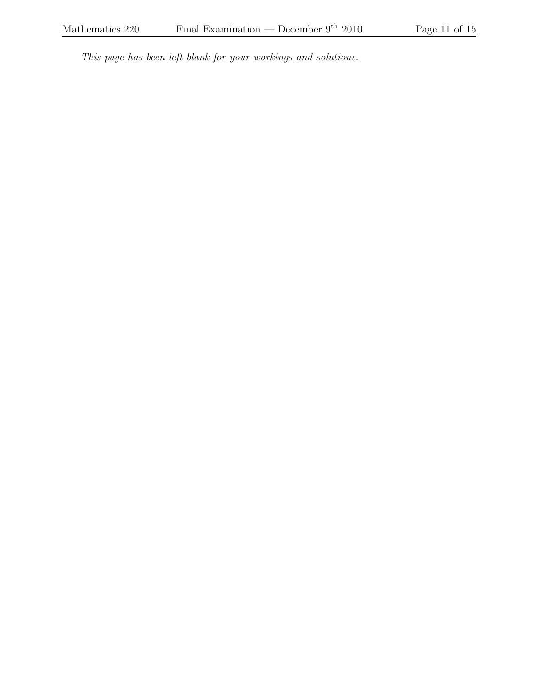This page has been left blank for your workings and solutions.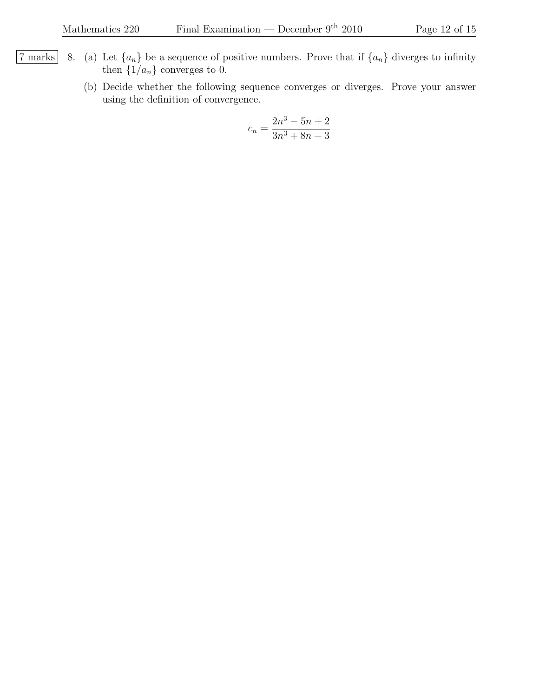- 7 marks 8. (a) Let  $\{a_n\}$  be a sequence of positive numbers. Prove that if  $\{a_n\}$  diverges to infinity then  $\{1/a_n\}$  converges to 0.
	- (b) Decide whether the following sequence converges or diverges. Prove your answer using the definition of convergence.

$$
c_n = \frac{2n^3 - 5n + 2}{3n^3 + 8n + 3}
$$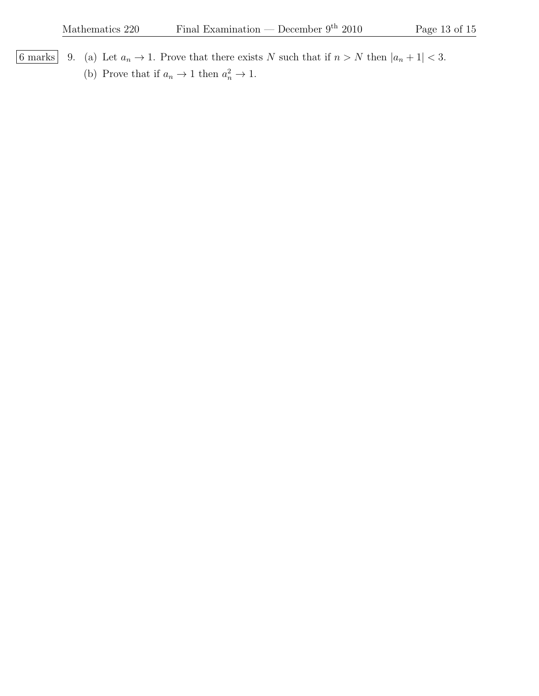6 marks 9. (a) Let  $a_n \to 1$ . Prove that there exists N such that if  $n > N$  then  $|a_n + 1| < 3$ . (b) Prove that if  $a_n \to 1$  then  $a_n^2 \to 1$ .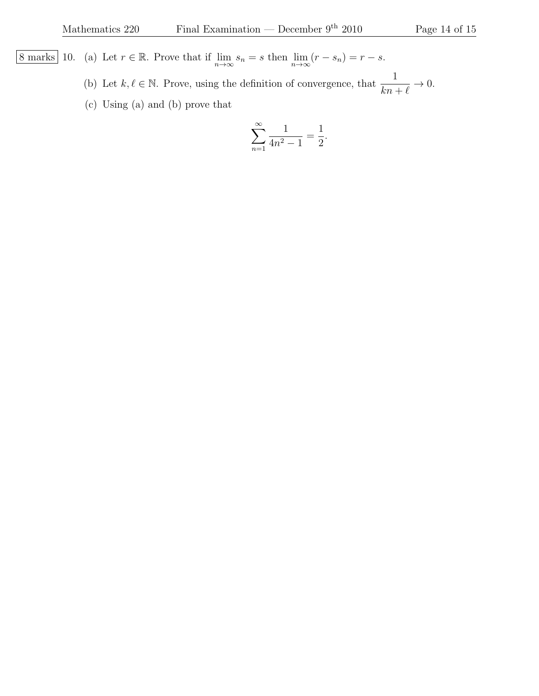8 marks 10. (a) Let  $r \in \mathbb{R}$ . Prove that if  $\lim_{n \to \infty} s_n = s$  then  $\lim_{n \to \infty} (r - s_n) = r - s$ .

(b) Let  $k, \ell \in \mathbb{N}$ . Prove, using the definition of convergence, that  $\frac{1}{1-\ell}$  $kn + \ell$  $\rightarrow 0.$ 

(c) Using (a) and (b) prove that

$$
\sum_{n=1}^{\infty} \frac{1}{4n^2 - 1} = \frac{1}{2}.
$$